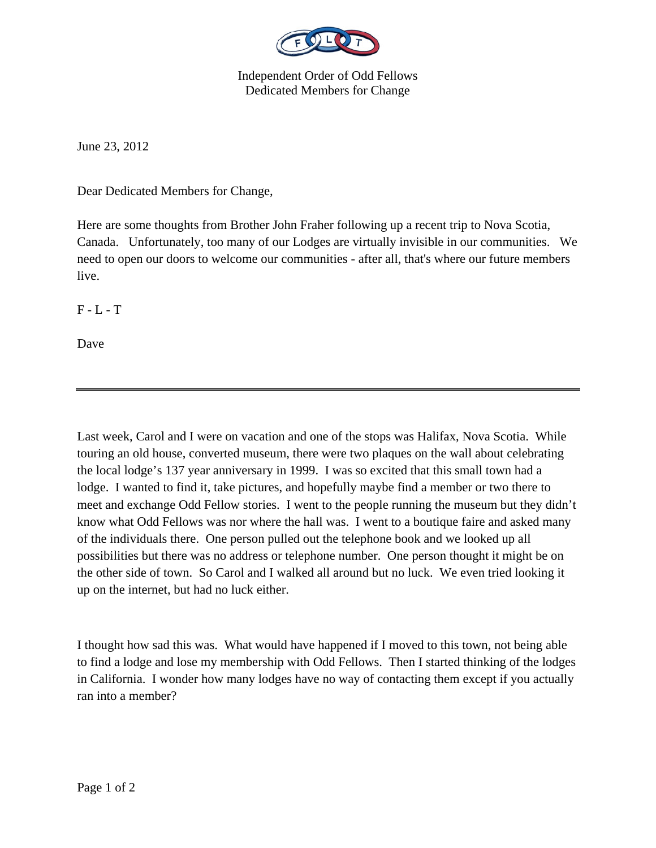

Independent Order of Odd Fellows Dedicated Members for Change

June 23, 2012

Dear Dedicated Members for Change,

Here are some thoughts from Brother John Fraher following up a recent trip to Nova Scotia, Canada. Unfortunately, too many of our Lodges are virtually invisible in our communities. We need to open our doors to welcome our communities - after all, that's where our future members live.

 $F - L - T$ 

Dave

Last week, Carol and I were on vacation and one of the stops was Halifax, Nova Scotia. While touring an old house, converted museum, there were two plaques on the wall about celebrating the local lodge's 137 year anniversary in 1999. I was so excited that this small town had a lodge. I wanted to find it, take pictures, and hopefully maybe find a member or two there to meet and exchange Odd Fellow stories. I went to the people running the museum but they didn't know what Odd Fellows was nor where the hall was. I went to a boutique faire and asked many of the individuals there. One person pulled out the telephone book and we looked up all possibilities but there was no address or telephone number. One person thought it might be on the other side of town. So Carol and I walked all around but no luck. We even tried looking it up on the internet, but had no luck either.

I thought how sad this was. What would have happened if I moved to this town, not being able to find a lodge and lose my membership with Odd Fellows. Then I started thinking of the lodges in California. I wonder how many lodges have no way of contacting them except if you actually ran into a member?